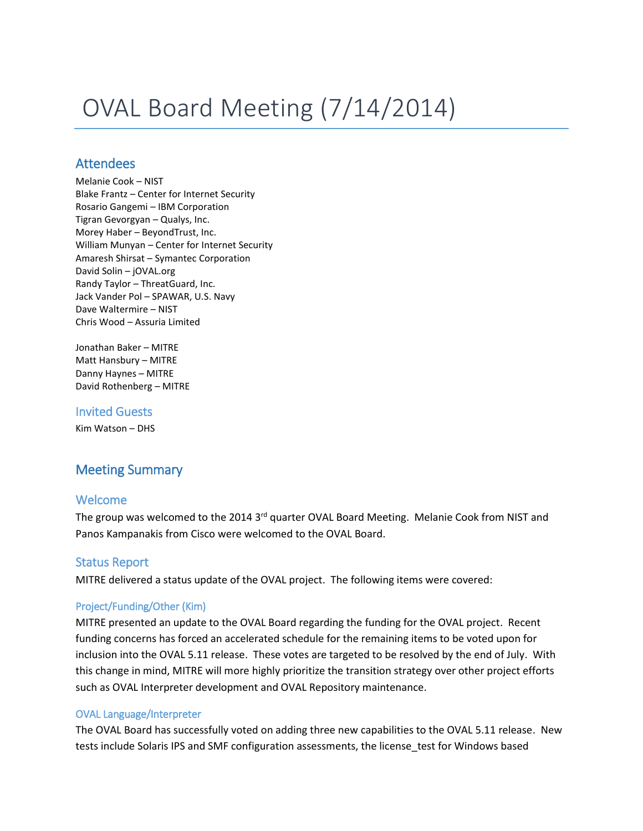# OVAL Board Meeting (7/14/2014)

## **Attendees**

Melanie Cook – NIST Blake Frantz – Center for Internet Security Rosario Gangemi – IBM Corporation Tigran Gevorgyan – Qualys, Inc. Morey Haber – BeyondTrust, Inc. William Munyan – Center for Internet Security Amaresh Shirsat – Symantec Corporation David Solin – jOVAL.org Randy Taylor – ThreatGuard, Inc. Jack Vander Pol – SPAWAR, U.S. Navy Dave Waltermire – NIST Chris Wood – Assuria Limited

Jonathan Baker – MITRE Matt Hansbury – MITRE Danny Haynes – MITRE David Rothenberg – MITRE

#### Invited Guests

Kim Watson – DHS

# Meeting Summary

#### Welcome

The group was welcomed to the 2014 3<sup>rd</sup> quarter OVAL Board Meeting. Melanie Cook from NIST and Panos Kampanakis from Cisco were welcomed to the OVAL Board.

#### Status Report

MITRE delivered a status update of the OVAL project. The following items were covered:

#### Project/Funding/Other (Kim)

MITRE presented an update to the OVAL Board regarding the funding for the OVAL project. Recent funding concerns has forced an accelerated schedule for the remaining items to be voted upon for inclusion into the OVAL 5.11 release. These votes are targeted to be resolved by the end of July. With this change in mind, MITRE will more highly prioritize the transition strategy over other project efforts such as OVAL Interpreter development and OVAL Repository maintenance.

#### OVAL Language/Interpreter

The OVAL Board has successfully voted on adding three new capabilities to the OVAL 5.11 release. New tests include Solaris IPS and SMF configuration assessments, the license\_test for Windows based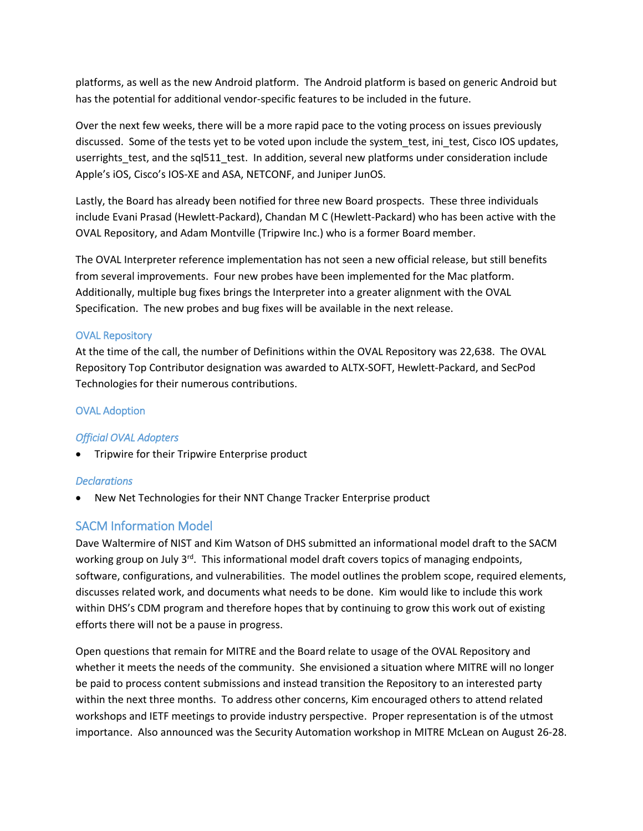platforms, as well as the new Android platform. The Android platform is based on generic Android but has the potential for additional vendor-specific features to be included in the future.

Over the next few weeks, there will be a more rapid pace to the voting process on issues previously discussed. Some of the tests yet to be voted upon include the system\_test, ini\_test, Cisco IOS updates, userrights test, and the sql511 test. In addition, several new platforms under consideration include Apple's iOS, Cisco's IOS-XE and ASA, NETCONF, and Juniper JunOS.

Lastly, the Board has already been notified for three new Board prospects. These three individuals include Evani Prasad (Hewlett-Packard), Chandan M C (Hewlett-Packard) who has been active with the OVAL Repository, and Adam Montville (Tripwire Inc.) who is a former Board member.

The OVAL Interpreter reference implementation has not seen a new official release, but still benefits from several improvements. Four new probes have been implemented for the Mac platform. Additionally, multiple bug fixes brings the Interpreter into a greater alignment with the OVAL Specification. The new probes and bug fixes will be available in the next release.

#### OVAL Repository

At the time of the call, the number of Definitions within the OVAL Repository was 22,638. The OVAL Repository Top Contributor designation was awarded to ALTX-SOFT, Hewlett-Packard, and SecPod Technologies for their numerous contributions.

#### OVAL Adoption

#### *Official OVAL Adopters*

Tripwire for their Tripwire Enterprise product

#### *Declarations*

New Net Technologies for their NNT Change Tracker Enterprise product

## SACM Information Model

Dave Waltermire of NIST and Kim Watson of DHS submitted an informational model draft to the SACM working group on July 3<sup>rd</sup>. This informational model draft covers topics of managing endpoints, software, configurations, and vulnerabilities. The model outlines the problem scope, required elements, discusses related work, and documents what needs to be done. Kim would like to include this work within DHS's CDM program and therefore hopes that by continuing to grow this work out of existing efforts there will not be a pause in progress.

Open questions that remain for MITRE and the Board relate to usage of the OVAL Repository and whether it meets the needs of the community. She envisioned a situation where MITRE will no longer be paid to process content submissions and instead transition the Repository to an interested party within the next three months. To address other concerns, Kim encouraged others to attend related workshops and IETF meetings to provide industry perspective. Proper representation is of the utmost importance. Also announced was the Security Automation workshop in MITRE McLean on August 26-28.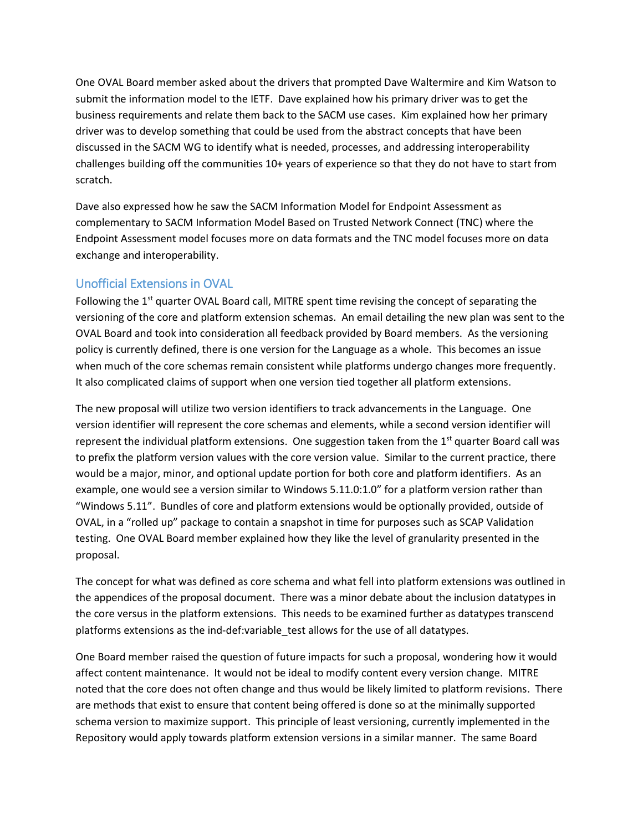One OVAL Board member asked about the drivers that prompted Dave Waltermire and Kim Watson to submit the information model to the IETF. Dave explained how his primary driver was to get the business requirements and relate them back to the SACM use cases. Kim explained how her primary driver was to develop something that could be used from the abstract concepts that have been discussed in the SACM WG to identify what is needed, processes, and addressing interoperability challenges building off the communities 10+ years of experience so that they do not have to start from scratch.

Dave also expressed how he saw the SACM Information Model for Endpoint Assessment as complementary to SACM Information Model Based on Trusted Network Connect (TNC) where the Endpoint Assessment model focuses more on data formats and the TNC model focuses more on data exchange and interoperability.

## Unofficial Extensions in OVAL

Following the  $1<sup>st</sup>$  quarter OVAL Board call, MITRE spent time revising the concept of separating the versioning of the core and platform extension schemas. An email detailing the new plan was sent to the OVAL Board and took into consideration all feedback provided by Board members. As the versioning policy is currently defined, there is one version for the Language as a whole. This becomes an issue when much of the core schemas remain consistent while platforms undergo changes more frequently. It also complicated claims of support when one version tied together all platform extensions.

The new proposal will utilize two version identifiers to track advancements in the Language. One version identifier will represent the core schemas and elements, while a second version identifier will represent the individual platform extensions. One suggestion taken from the  $1<sup>st</sup>$  quarter Board call was to prefix the platform version values with the core version value. Similar to the current practice, there would be a major, minor, and optional update portion for both core and platform identifiers. As an example, one would see a version similar to Windows 5.11.0:1.0" for a platform version rather than "Windows 5.11". Bundles of core and platform extensions would be optionally provided, outside of OVAL, in a "rolled up" package to contain a snapshot in time for purposes such as SCAP Validation testing. One OVAL Board member explained how they like the level of granularity presented in the proposal.

The concept for what was defined as core schema and what fell into platform extensions was outlined in the appendices of the proposal document. There was a minor debate about the inclusion datatypes in the core versus in the platform extensions. This needs to be examined further as datatypes transcend platforms extensions as the ind-def:variable\_test allows for the use of all datatypes.

One Board member raised the question of future impacts for such a proposal, wondering how it would affect content maintenance. It would not be ideal to modify content every version change. MITRE noted that the core does not often change and thus would be likely limited to platform revisions. There are methods that exist to ensure that content being offered is done so at the minimally supported schema version to maximize support. This principle of least versioning, currently implemented in the Repository would apply towards platform extension versions in a similar manner. The same Board